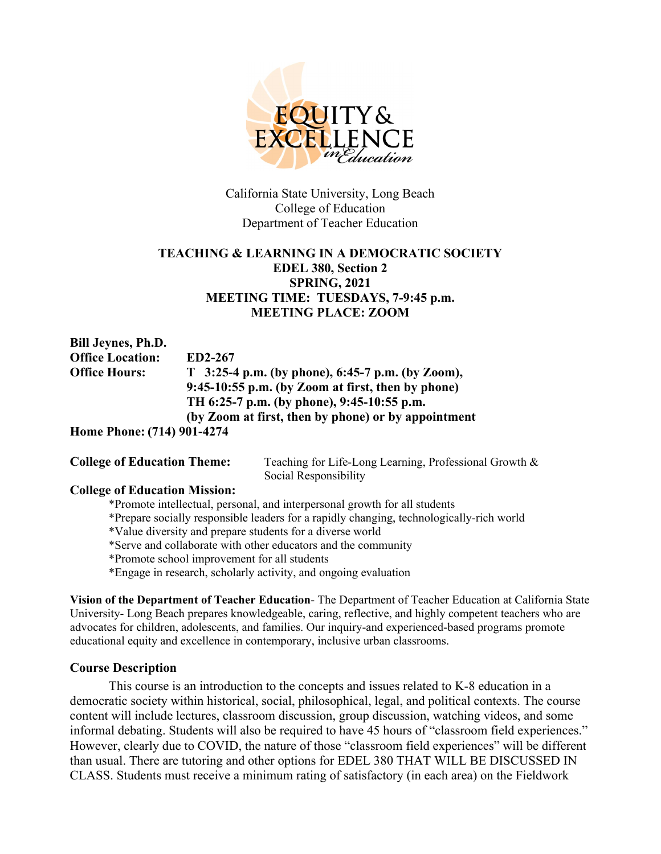

California State University, Long Beach College of Education Department of Teacher Education

## **TEACHING & LEARNING IN A DEMOCRATIC SOCIETY EDEL 380, Section 2 SPRING, 2021 MEETING TIME: TUESDAYS, 7-9:45 p.m. MEETING PLACE: ZOOM**

**Bill Jeynes, Ph.D. Office Location: ED2-267 Office Hours: T 3:25-4 p.m. (by phone), 6:45-7 p.m. (by Zoom), 9:45-10:55 p.m. (by Zoom at first, then by phone) TH 6:25-7 p.m. (by phone), 9:45-10:55 p.m. (by Zoom at first, then by phone) or by appointment**

**Home Phone: (714) 901-4274**

**College of Education Theme:** Teaching for Life-Long Learning, Professional Growth & Social Responsibility

### **College of Education Mission:**

\*Promote intellectual, personal, and interpersonal growth for all students

\*Prepare socially responsible leaders for a rapidly changing, technologically-rich world

\*Value diversity and prepare students for a diverse world

\*Serve and collaborate with other educators and the community

\*Promote school improvement for all students

\*Engage in research, scholarly activity, and ongoing evaluation

**Vision of the Department of Teacher Education**- The Department of Teacher Education at California State University- Long Beach prepares knowledgeable, caring, reflective, and highly competent teachers who are advocates for children, adolescents, and families. Our inquiry-and experienced-based programs promote educational equity and excellence in contemporary, inclusive urban classrooms.

### **Course Description**

This course is an introduction to the concepts and issues related to K-8 education in a democratic society within historical, social, philosophical, legal, and political contexts. The course content will include lectures, classroom discussion, group discussion, watching videos, and some informal debating. Students will also be required to have 45 hours of "classroom field experiences." However, clearly due to COVID, the nature of those "classroom field experiences" will be different than usual. There are tutoring and other options for EDEL 380 THAT WILL BE DISCUSSED IN CLASS. Students must receive a minimum rating of satisfactory (in each area) on the Fieldwork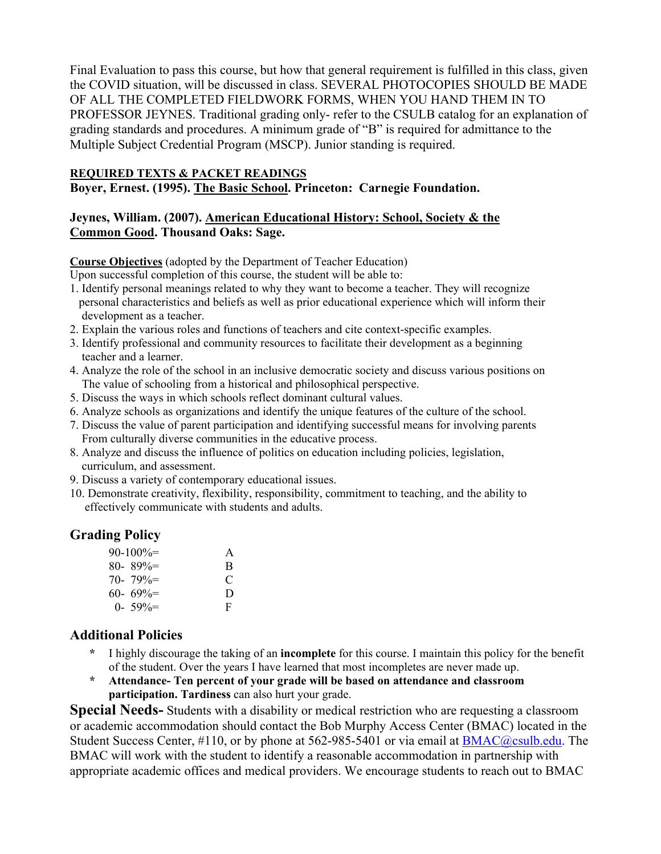Final Evaluation to pass this course, but how that general requirement is fulfilled in this class, given the COVID situation, will be discussed in class. SEVERAL PHOTOCOPIES SHOULD BE MADE OF ALL THE COMPLETED FIELDWORK FORMS, WHEN YOU HAND THEM IN TO PROFESSOR JEYNES. Traditional grading only- refer to the CSULB catalog for an explanation of grading standards and procedures. A minimum grade of "B" is required for admittance to the Multiple Subject Credential Program (MSCP). Junior standing is required.

## **REQUIRED TEXTS & PACKET READINGS**

**Boyer, Ernest. (1995). The Basic School. Princeton: Carnegie Foundation.**

# **Jeynes, William. (2007). American Educational History: School, Society & the Common Good. Thousand Oaks: Sage.**

## **Course Objectives** (adopted by the Department of Teacher Education)

Upon successful completion of this course, the student will be able to:

- 1. Identify personal meanings related to why they want to become a teacher. They will recognize personal characteristics and beliefs as well as prior educational experience which will inform their development as a teacher.
- 2. Explain the various roles and functions of teachers and cite context-specific examples.
- 3. Identify professional and community resources to facilitate their development as a beginning teacher and a learner.
- 4. Analyze the role of the school in an inclusive democratic society and discuss various positions on The value of schooling from a historical and philosophical perspective.
- 5. Discuss the ways in which schools reflect dominant cultural values.
- 6. Analyze schools as organizations and identify the unique features of the culture of the school.
- 7. Discuss the value of parent participation and identifying successful means for involving parents From culturally diverse communities in the educative process.
- 8. Analyze and discuss the influence of politics on education including policies, legislation, curriculum, and assessment.
- 9. Discuss a variety of contemporary educational issues.
- 10. Demonstrate creativity, flexibility, responsibility, commitment to teaching, and the ability to effectively communicate with students and adults.

# **Grading Policy**

| $90-100\% =$  | A |
|---------------|---|
| $80 - 89\% =$ | R |
| $70 - 79\% =$ | C |
| $60 - 69\% =$ | D |
| $0 - 59\% =$  | F |

# **Additional Policies**

- **\*** I highly discourage the taking of an **incomplete** for this course. I maintain this policy for the benefit of the student. Over the years I have learned that most incompletes are never made up.
- **\* Attendance- Ten percent of your grade will be based on attendance and classroom participation. Tardiness** can also hurt your grade.

**Special Needs-** Students with a disability or medical restriction who are requesting a classroom or academic accommodation should contact the Bob Murphy Access Center (BMAC) located in the Student Success Center,  $\#110$ , or by phone at 562-985-5401 or via email at  $BMAC@csulb.edu$ . The BMAC will work with the student to identify a reasonable accommodation in partnership with appropriate academic offices and medical providers. We encourage students to reach out to BMAC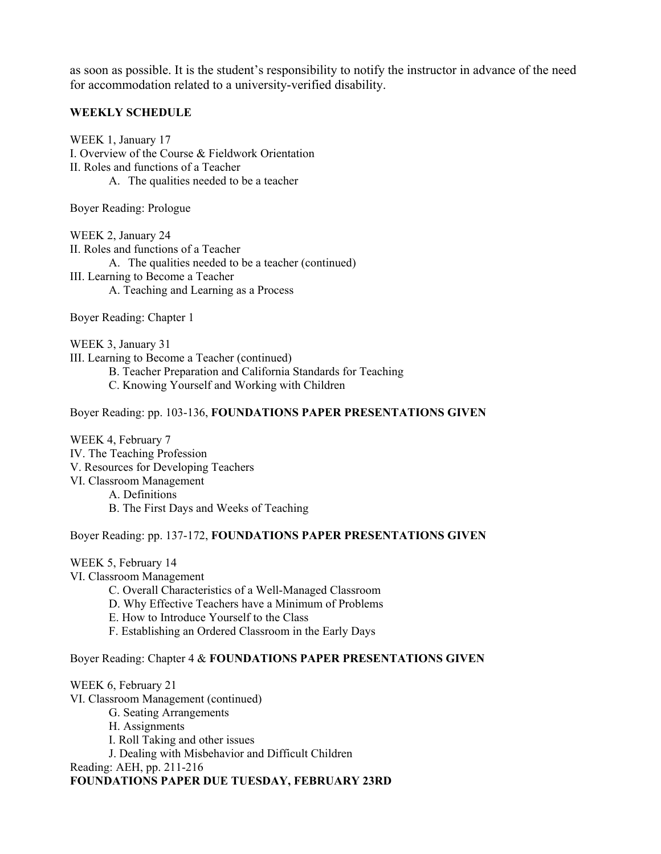as soon as possible. It is the student's responsibility to notify the instructor in advance of the need for accommodation related to a university-verified disability.

#### **WEEKLY SCHEDULE**

WEEK 1, January 17 I. Overview of the Course & Fieldwork Orientation II. Roles and functions of a Teacher A. The qualities needed to be a teacher

Boyer Reading: Prologue

WEEK 2, January 24 II. Roles and functions of a Teacher A. The qualities needed to be a teacher (continued) III. Learning to Become a Teacher A. Teaching and Learning as a Process

Boyer Reading: Chapter 1

WEEK 3, January 31 III. Learning to Become a Teacher (continued) B. Teacher Preparation and California Standards for Teaching C. Knowing Yourself and Working with Children

Boyer Reading: pp. 103-136, **FOUNDATIONS PAPER PRESENTATIONS GIVEN**

WEEK 4, February 7 IV. The Teaching Profession V. Resources for Developing Teachers VI. Classroom Management A. Definitions B. The First Days and Weeks of Teaching

Boyer Reading: pp. 137-172, **FOUNDATIONS PAPER PRESENTATIONS GIVEN**

WEEK 5, February 14 VI. Classroom Management C. Overall Characteristics of a Well-Managed Classroom D. Why Effective Teachers have a Minimum of Problems E. How to Introduce Yourself to the Class F. Establishing an Ordered Classroom in the Early Days Boyer Reading: Chapter 4 & **FOUNDATIONS PAPER PRESENTATIONS GIVEN**

WEEK 6, February 21 VI. Classroom Management (continued) G. Seating Arrangements H. Assignments I. Roll Taking and other issues J. Dealing with Misbehavior and Difficult Children Reading: AEH, pp. 211-216

**FOUNDATIONS PAPER DUE TUESDAY, FEBRUARY 23RD**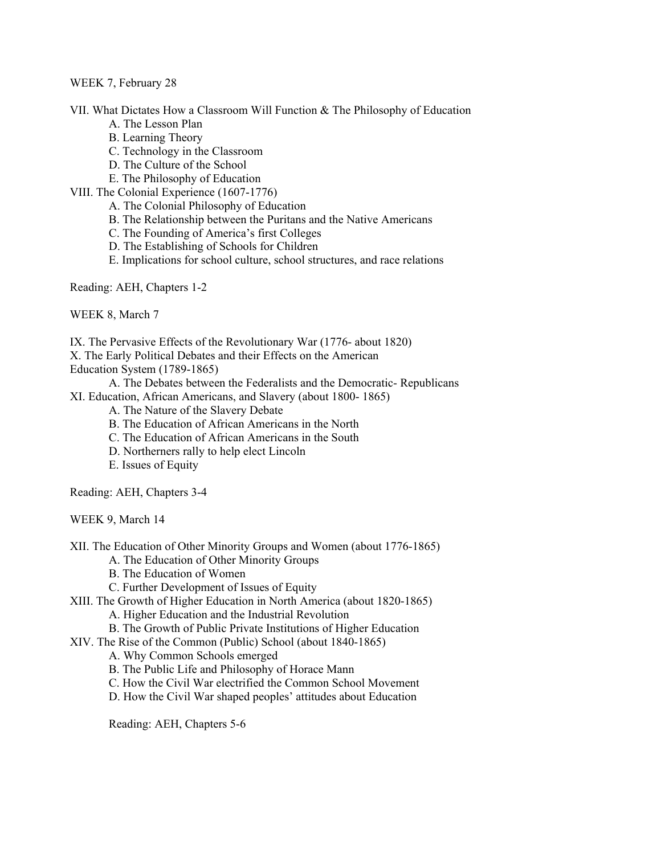#### WEEK 7, February 28

VII. What Dictates How a Classroom Will Function & The Philosophy of Education

- A. The Lesson Plan
- B. Learning Theory
- C. Technology in the Classroom
- D. The Culture of the School
- E. The Philosophy of Education
- VIII. The Colonial Experience (1607-1776)
	- A. The Colonial Philosophy of Education
	- B. The Relationship between the Puritans and the Native Americans
	- C. The Founding of America's first Colleges
	- D. The Establishing of Schools for Children
	- E. Implications for school culture, school structures, and race relations

Reading: AEH, Chapters 1-2

WEEK 8, March 7

IX. The Pervasive Effects of the Revolutionary War (1776- about 1820)

X. The Early Political Debates and their Effects on the American

Education System (1789-1865)

A. The Debates between the Federalists and the Democratic- Republicans

- XI. Education, African Americans, and Slavery (about 1800- 1865)
	- A. The Nature of the Slavery Debate
	- B. The Education of African Americans in the North
	- C. The Education of African Americans in the South
	- D. Northerners rally to help elect Lincoln
	- E. Issues of Equity

Reading: AEH, Chapters 3-4

WEEK 9, March 14

XII. The Education of Other Minority Groups and Women (about 1776-1865)

A. The Education of Other Minority Groups

- B. The Education of Women
- C. Further Development of Issues of Equity

XIII. The Growth of Higher Education in North America (about 1820-1865)

A. Higher Education and the Industrial Revolution

B. The Growth of Public Private Institutions of Higher Education

XIV. The Rise of the Common (Public) School (about 1840-1865)

A. Why Common Schools emerged

B. The Public Life and Philosophy of Horace Mann

C. How the Civil War electrified the Common School Movement

D. How the Civil War shaped peoples' attitudes about Education

Reading: AEH, Chapters 5-6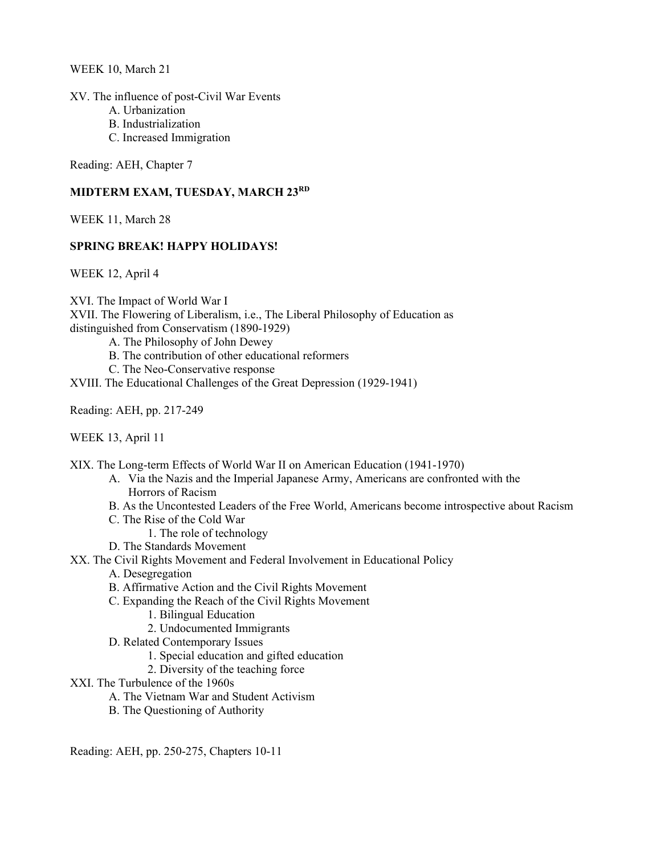WEEK 10, March 21

XV. The influence of post-Civil War Events

- A. Urbanization
- B. Industrialization
- C. Increased Immigration

Reading: AEH, Chapter 7

#### **MIDTERM EXAM, TUESDAY, MARCH 23RD**

WEEK 11, March 28

#### **SPRING BREAK! HAPPY HOLIDAYS!**

WEEK 12, April 4

XVI. The Impact of World War I XVII. The Flowering of Liberalism, i.e., The Liberal Philosophy of Education as distinguished from Conservatism (1890-1929)

A. The Philosophy of John Dewey

B. The contribution of other educational reformers

C. The Neo-Conservative response

XVIII. The Educational Challenges of the Great Depression (1929-1941)

Reading: AEH, pp. 217-249

WEEK 13, April 11

XIX. The Long-term Effects of World War II on American Education (1941-1970)

- A. Via the Nazis and the Imperial Japanese Army, Americans are confronted with the Horrors of Racism
- B. As the Uncontested Leaders of the Free World, Americans become introspective about Racism
- C. The Rise of the Cold War
	- 1. The role of technology
- D. The Standards Movement

XX. The Civil Rights Movement and Federal Involvement in Educational Policy

- A. Desegregation
- B. Affirmative Action and the Civil Rights Movement
- C. Expanding the Reach of the Civil Rights Movement
	- 1. Bilingual Education
	- 2. Undocumented Immigrants
- D. Related Contemporary Issues
	- 1. Special education and gifted education
	- 2. Diversity of the teaching force
- XXI. The Turbulence of the 1960s
	- A. The Vietnam War and Student Activism
	- B. The Questioning of Authority

Reading: AEH, pp. 250-275, Chapters 10-11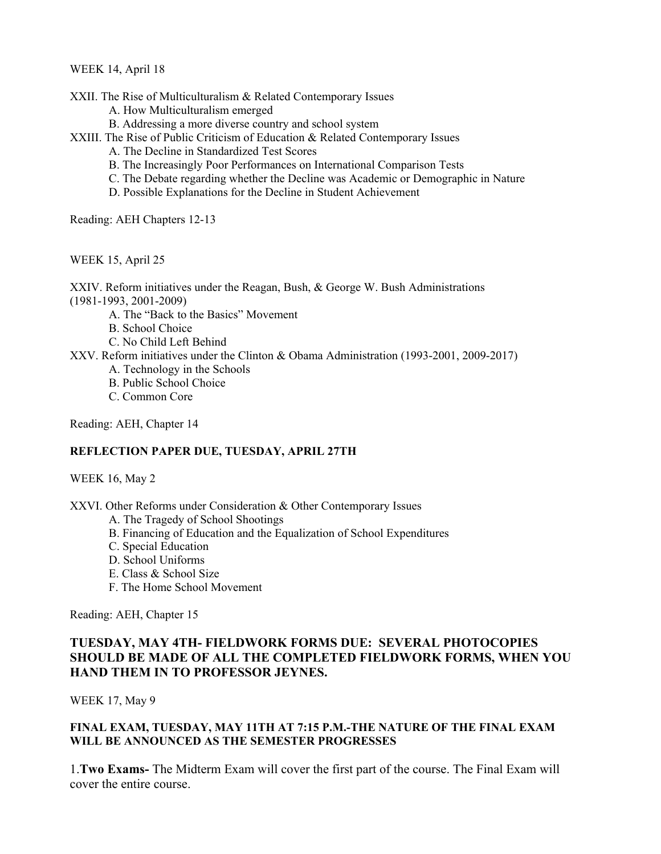WEEK 14, April 18

XXII. The Rise of Multiculturalism & Related Contemporary Issues

- A. How Multiculturalism emerged
- B. Addressing a more diverse country and school system
- XXIII. The Rise of Public Criticism of Education & Related Contemporary Issues
	- A. The Decline in Standardized Test Scores
	- B. The Increasingly Poor Performances on International Comparison Tests
	- C. The Debate regarding whether the Decline was Academic or Demographic in Nature
	- D. Possible Explanations for the Decline in Student Achievement

Reading: AEH Chapters 12-13

WEEK 15, April 25

XXIV. Reform initiatives under the Reagan, Bush, & George W. Bush Administrations (1981-1993, 2001-2009)

A. The "Back to the Basics" Movement

B. School Choice

C. No Child Left Behind

XXV. Reform initiatives under the Clinton & Obama Administration (1993-2001, 2009-2017)

- A. Technology in the Schools
- B. Public School Choice
- C. Common Core

Reading: AEH, Chapter 14

#### **REFLECTION PAPER DUE, TUESDAY, APRIL 27TH**

#### WEEK 16, May 2

XXVI. Other Reforms under Consideration & Other Contemporary Issues

- A. The Tragedy of School Shootings
- B. Financing of Education and the Equalization of School Expenditures
- C. Special Education
- D. School Uniforms
- E. Class & School Size
- F. The Home School Movement

Reading: AEH, Chapter 15

## **TUESDAY, MAY 4TH- FIELDWORK FORMS DUE: SEVERAL PHOTOCOPIES SHOULD BE MADE OF ALL THE COMPLETED FIELDWORK FORMS, WHEN YOU HAND THEM IN TO PROFESSOR JEYNES.**

WEEK 17, May 9

#### **FINAL EXAM, TUESDAY, MAY 11TH AT 7:15 P.M.-THE NATURE OF THE FINAL EXAM WILL BE ANNOUNCED AS THE SEMESTER PROGRESSES**

1.**Two Exams-** The Midterm Exam will cover the first part of the course. The Final Exam will cover the entire course.